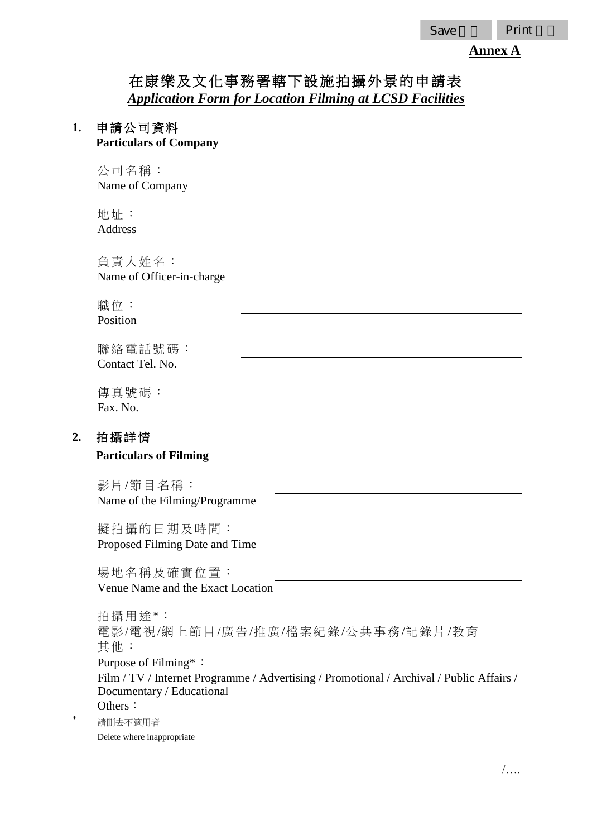## **Annex A**

# 在康樂及文化事務署轄下設施拍攝外景的申請表 *Application Form for Location Filming at LCSD Facilities*

#### **1.** 申請公司資料 **Particulars of Company**

公司名稱: Name of Company

地址 : Address

負責人姓名: Name of Officer-in-charge

職位: Position

聯絡 電話號碼: Contact Tel. No.

傳真號碼: Fax. No.

## **2.** 拍攝詳情

#### **Particulars of Filming**

影片/節目名稱: Name of the Filming/Programme

擬拍攝的日期及時間: Proposed Filming Date and Time

場地名稱及確實位置: Venue Name and the Exact Location

拍攝用途\*: 電影/電 視/網上 節 目 /廣告 /推 廣/檔案 紀 錄/公 共 事務 /記錄片 /教育 其他 : Purpose of Filming\*: Film / TV / Internet Programme / Advertising / Promotional / Archival / Public Affairs / Documentary / Educational Others:

請删去不適用者 Delete where inappropriate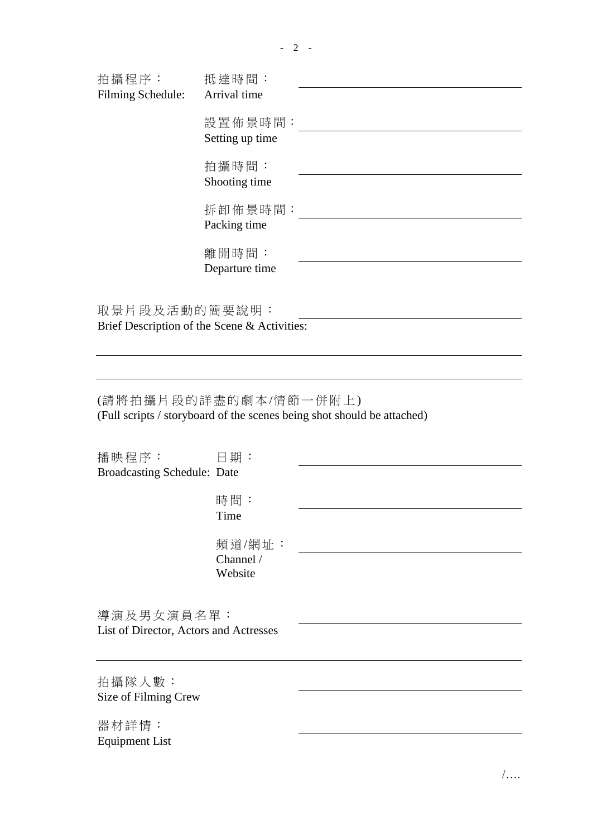| 拍攝程序:             | 抵達時間:                      |  |
|-------------------|----------------------------|--|
| Filming Schedule: | Arrival time               |  |
|                   | 設置佈景時間:<br>Setting up time |  |
|                   |                            |  |
|                   | 拍攝時間:                      |  |
|                   | Shooting time              |  |
|                   | 拆卸佈景時間:                    |  |
|                   | Packing time               |  |
|                   | 離開時間:                      |  |
|                   | Departure time             |  |
|                   |                            |  |
| 取景片段及活動的簡要說明:     |                            |  |

Brief Description of the Scene & Activities:

(請 將 拍攝 片 段的 詳 盡的 劇 本 /情 節 一 併 附上 ) (Full scripts / storyboard of the scenes being shot should be attached)

| 播映程序:                                  | 日期:       |  |
|----------------------------------------|-----------|--|
| <b>Broadcasting Schedule: Date</b>     |           |  |
|                                        |           |  |
|                                        | 時間:       |  |
|                                        | Time      |  |
|                                        |           |  |
|                                        | 頻道/網址:    |  |
|                                        | Channel / |  |
|                                        | Website   |  |
|                                        |           |  |
| 導演及男女演員名單:                             |           |  |
|                                        |           |  |
| List of Director, Actors and Actresses |           |  |
|                                        |           |  |
|                                        |           |  |
| 拍攝隊人數:                                 |           |  |
| Size of Filming Crew                   |           |  |

器材詳情: Equipment List